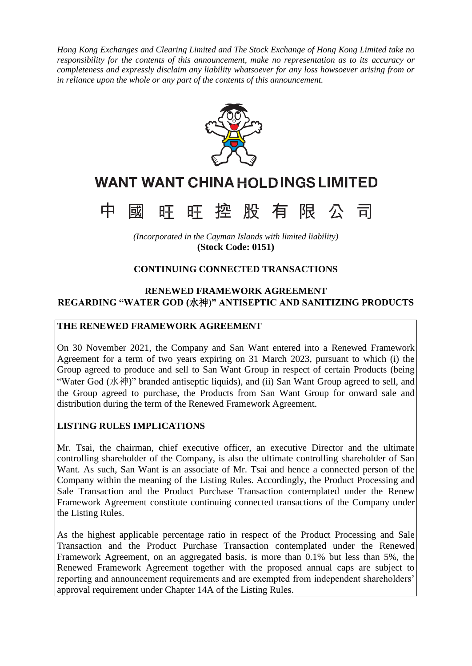*Hong Kong Exchanges and Clearing Limited and The Stock Exchange of Hong Kong Limited take no responsibility for the contents of this announcement, make no representation as to its accuracy or completeness and expressly disclaim any liability whatsoever for any loss howsoever arising from or in reliance upon the whole or any part of the contents of this announcement.*



# **WANT WANT CHINA HOLD INGS LIMITED**



*(Incorporated in the Cayman Islands with limited liability)* **(Stock Code: 0151)**

# **CONTINUING CONNECTED TRANSACTIONS**

# **RENEWED FRAMEWORK AGREEMENT REGARDING "WATER GOD (**水神**)" ANTISEPTIC AND SANITIZING PRODUCTS**

#### **THE RENEWED FRAMEWORK AGREEMENT**

On 30 November 2021, the Company and San Want entered into a Renewed Framework Agreement for a term of two years expiring on 31 March 2023, pursuant to which (i) the Group agreed to produce and sell to San Want Group in respect of certain Products (being "Water God (水神)" branded antiseptic liquids), and (ii) San Want Group agreed to sell, and the Group agreed to purchase, the Products from San Want Group for onward sale and distribution during the term of the Renewed Framework Agreement.

## **LISTING RULES IMPLICATIONS**

Mr. Tsai, the chairman, chief executive officer, an executive Director and the ultimate controlling shareholder of the Company, is also the ultimate controlling shareholder of San Want. As such, San Want is an associate of Mr. Tsai and hence a connected person of the Company within the meaning of the Listing Rules. Accordingly, the Product Processing and Sale Transaction and the Product Purchase Transaction contemplated under the Renew Framework Agreement constitute continuing connected transactions of the Company under the Listing Rules.

As the highest applicable percentage ratio in respect of the Product Processing and Sale Transaction and the Product Purchase Transaction contemplated under the Renewed Framework Agreement, on an aggregated basis, is more than 0.1% but less than 5%, the Renewed Framework Agreement together with the proposed annual caps are subject to reporting and announcement requirements and are exempted from independent shareholders' approval requirement under Chapter 14A of the Listing Rules.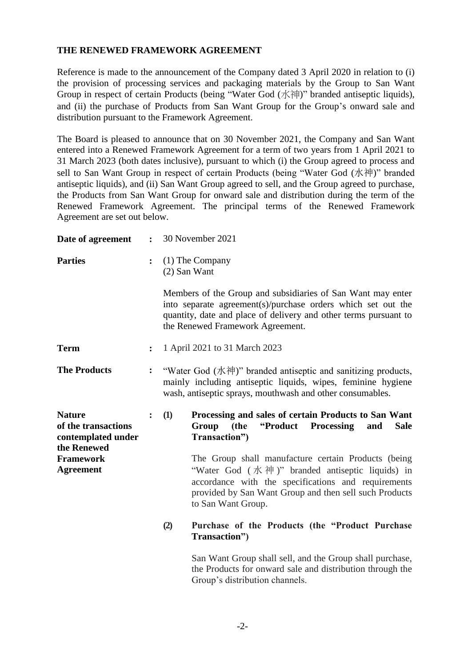## **THE RENEWED FRAMEWORK AGREEMENT**

Reference is made to the announcement of the Company dated 3 April 2020 in relation to (i) the provision of processing services and packaging materials by the Group to San Want Group in respect of certain Products (being "Water God (水神)" branded antiseptic liquids), and (ii) the purchase of Products from San Want Group for the Group's onward sale and distribution pursuant to the Framework Agreement.

The Board is pleased to announce that on 30 November 2021, the Company and San Want entered into a Renewed Framework Agreement for a term of two years from 1 April 2021 to 31 March 2023 (both dates inclusive), pursuant to which (i) the Group agreed to process and sell to San Want Group in respect of certain Products (being "Water God (水神)" branded antiseptic liquids), and (ii) San Want Group agreed to sell, and the Group agreed to purchase, the Products from San Want Group for onward sale and distribution during the term of the Renewed Framework Agreement. The principal terms of the Renewed Framework Agreement are set out below.

| Date of agreement                                                         | $\ddot{\cdot}$ |            | 30 November 2021                                                                                                                                                                                                                              |
|---------------------------------------------------------------------------|----------------|------------|-----------------------------------------------------------------------------------------------------------------------------------------------------------------------------------------------------------------------------------------------|
| <b>Parties</b>                                                            | $\ddot{\cdot}$ |            | $(1)$ The Company<br>$(2)$ San Want                                                                                                                                                                                                           |
|                                                                           |                |            | Members of the Group and subsidiaries of San Want may enter<br>into separate agreement(s)/purchase orders which set out the<br>quantity, date and place of delivery and other terms pursuant to<br>the Renewed Framework Agreement.           |
| <b>Term</b>                                                               | $\ddot{\cdot}$ |            | 1 April 2021 to 31 March 2023                                                                                                                                                                                                                 |
| <b>The Products</b>                                                       | $\ddot{\cdot}$ |            | "Water God (水神)" branded antiseptic and sanitizing products,<br>mainly including antiseptic liquids, wipes, feminine hygiene<br>wash, antiseptic sprays, mouthwash and other consumables.                                                     |
| <b>Nature</b><br>of the transactions<br>contemplated under<br>the Renewed | $\ddot{\cdot}$ | <b>(1)</b> | Processing and sales of certain Products to San Want<br>Group<br>(the<br>"Product Processing<br><b>Sale</b><br>and<br>Transaction")                                                                                                           |
| <b>Framework</b><br><b>Agreement</b>                                      |                |            | The Group shall manufacture certain Products (being<br>"Water God (水神)" branded antiseptic liquids) in<br>accordance with the specifications and requirements<br>provided by San Want Group and then sell such Products<br>to San Want Group. |
|                                                                           |                | (2)        | Purchase of the Products (the "Product Purchase<br>Transaction")                                                                                                                                                                              |
|                                                                           |                |            | San Want Group shall sell, and the Group shall purchase,<br>the Products for onward sale and distribution through the<br>Group's distribution channels.                                                                                       |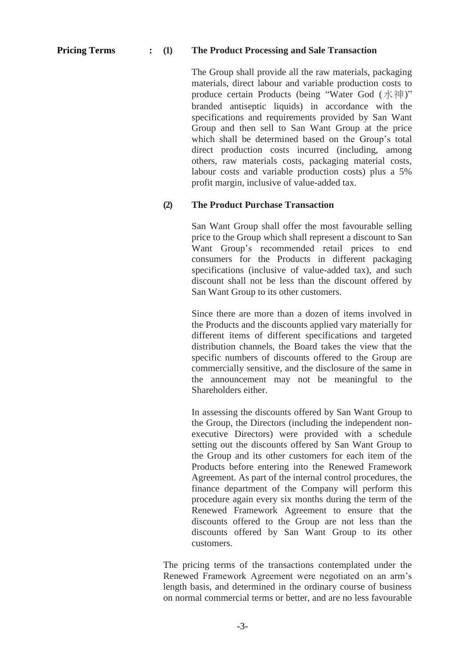### **Pricing Terms : (1) The Product Processing and Sale Transaction**

The Group shall provide all the raw materials, packaging materials, direct labour and variable production costs to produce certain Products (being "Water God (水神)" branded antiseptic liquids) in accordance with the specifications and requirements provided by San Want Group and then sell to San Want Group at the price which shall be determined based on the Group's total direct production costs incurred (including, among others, raw materials costs, packaging material costs, labour costs and variable production costs) plus a 5% profit margin, inclusive of value-added tax.

#### **(2) The Product Purchase Transaction**

San Want Group shall offer the most favourable selling price to the Group which shall represent a discount to San Want Group's recommended retail prices to end consumers for the Products in different packaging specifications (inclusive of value-added tax), and such discount shall not be less than the discount offered by San Want Group to its other customers.

Since there are more than a dozen of items involved in the Products and the discounts applied vary materially for different items of different specifications and targeted distribution channels, the Board takes the view that the specific numbers of discounts offered to the Group are commercially sensitive, and the disclosure of the same in the announcement may not be meaningful to the Shareholders either.

In assessing the discounts offered by San Want Group to the Group, the Directors (including the independent nonexecutive Directors) were provided with a schedule setting out the discounts offered by San Want Group to the Group and its other customers for each item of the Products before entering into the Renewed Framework Agreement. As part of the internal control procedures, the finance department of the Company will perform this procedure again every six months during the term of the Renewed Framework Agreement to ensure that the discounts offered to the Group are not less than the discounts offered by San Want Group to its other customers.

The pricing terms of the transactions contemplated under the Renewed Framework Agreement were negotiated on an arm's length basis, and determined in the ordinary course of business on normal commercial terms or better, and are no less favourable

-3-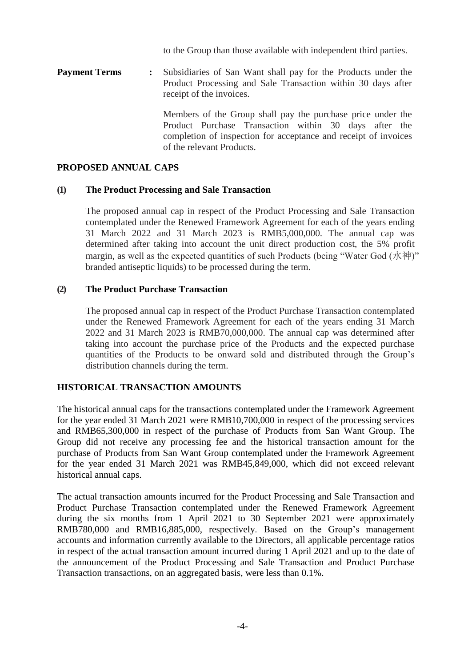to the Group than those available with independent third parties.

**Payment Terms :** Subsidiaries of San Want shall pay for the Products under the Product Processing and Sale Transaction within 30 days after receipt of the invoices.

> Members of the Group shall pay the purchase price under the Product Purchase Transaction within 30 days after the completion of inspection for acceptance and receipt of invoices of the relevant Products.

#### **PROPOSED ANNUAL CAPS**

#### **(1) The Product Processing and Sale Transaction**

The proposed annual cap in respect of the Product Processing and Sale Transaction contemplated under the Renewed Framework Agreement for each of the years ending 31 March 2022 and 31 March 2023 is RMB5,000,000. The annual cap was determined after taking into account the unit direct production cost, the 5% profit margin, as well as the expected quantities of such Products (being "Water God (水神)" branded antiseptic liquids) to be processed during the term.

#### **(2) The Product Purchase Transaction**

The proposed annual cap in respect of the Product Purchase Transaction contemplated under the Renewed Framework Agreement for each of the years ending 31 March 2022 and 31 March 2023 is RMB70,000,000. The annual cap was determined after taking into account the purchase price of the Products and the expected purchase quantities of the Products to be onward sold and distributed through the Group's distribution channels during the term.

## **HISTORICAL TRANSACTION AMOUNTS**

The historical annual caps for the transactions contemplated under the Framework Agreement for the year ended 31 March 2021 were RMB10,700,000 in respect of the processing services and RMB65,300,000 in respect of the purchase of Products from San Want Group. The Group did not receive any processing fee and the historical transaction amount for the purchase of Products from San Want Group contemplated under the Framework Agreement for the year ended 31 March 2021 was RMB45,849,000, which did not exceed relevant historical annual caps.

The actual transaction amounts incurred for the Product Processing and Sale Transaction and Product Purchase Transaction contemplated under the Renewed Framework Agreement during the six months from 1 April 2021 to 30 September 2021 were approximately RMB780,000 and RMB16,885,000, respectively. Based on the Group's management accounts and information currently available to the Directors, all applicable percentage ratios in respect of the actual transaction amount incurred during 1 April 2021 and up to the date of the announcement of the Product Processing and Sale Transaction and Product Purchase Transaction transactions, on an aggregated basis, were less than 0.1%.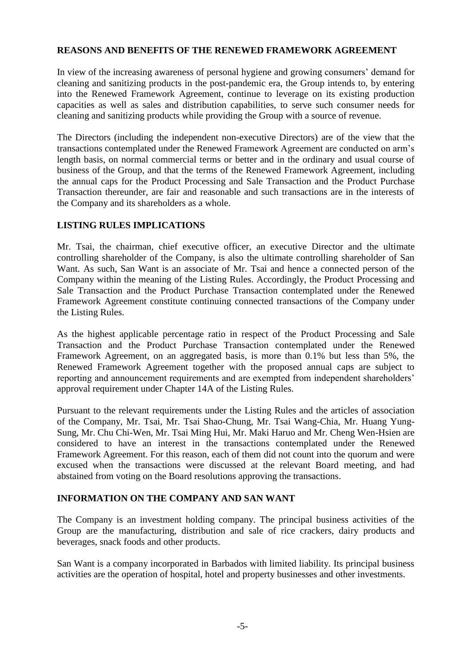#### **REASONS AND BENEFITS OF THE RENEWED FRAMEWORK AGREEMENT**

In view of the increasing awareness of personal hygiene and growing consumers' demand for cleaning and sanitizing products in the post-pandemic era, the Group intends to, by entering into the Renewed Framework Agreement, continue to leverage on its existing production capacities as well as sales and distribution capabilities, to serve such consumer needs for cleaning and sanitizing products while providing the Group with a source of revenue.

The Directors (including the independent non-executive Directors) are of the view that the transactions contemplated under the Renewed Framework Agreement are conducted on arm's length basis, on normal commercial terms or better and in the ordinary and usual course of business of the Group, and that the terms of the Renewed Framework Agreement, including the annual caps for the Product Processing and Sale Transaction and the Product Purchase Transaction thereunder, are fair and reasonable and such transactions are in the interests of the Company and its shareholders as a whole.

#### **LISTING RULES IMPLICATIONS**

Mr. Tsai, the chairman, chief executive officer, an executive Director and the ultimate controlling shareholder of the Company, is also the ultimate controlling shareholder of San Want. As such, San Want is an associate of Mr. Tsai and hence a connected person of the Company within the meaning of the Listing Rules. Accordingly, the Product Processing and Sale Transaction and the Product Purchase Transaction contemplated under the Renewed Framework Agreement constitute continuing connected transactions of the Company under the Listing Rules.

As the highest applicable percentage ratio in respect of the Product Processing and Sale Transaction and the Product Purchase Transaction contemplated under the Renewed Framework Agreement, on an aggregated basis, is more than 0.1% but less than 5%, the Renewed Framework Agreement together with the proposed annual caps are subject to reporting and announcement requirements and are exempted from independent shareholders' approval requirement under Chapter 14A of the Listing Rules.

Pursuant to the relevant requirements under the Listing Rules and the articles of association of the Company, Mr. Tsai, Mr. Tsai Shao-Chung, Mr. Tsai Wang-Chia, Mr. Huang Yung-Sung, Mr. Chu Chi-Wen, Mr. Tsai Ming Hui, Mr. Maki Haruo and Mr. Cheng Wen-Hsien are considered to have an interest in the transactions contemplated under the Renewed Framework Agreement. For this reason, each of them did not count into the quorum and were excused when the transactions were discussed at the relevant Board meeting, and had abstained from voting on the Board resolutions approving the transactions.

## **INFORMATION ON THE COMPANY AND SAN WANT**

The Company is an investment holding company. The principal business activities of the Group are the manufacturing, distribution and sale of rice crackers, dairy products and beverages, snack foods and other products.

San Want is a company incorporated in Barbados with limited liability. Its principal business activities are the operation of hospital, hotel and property businesses and other investments.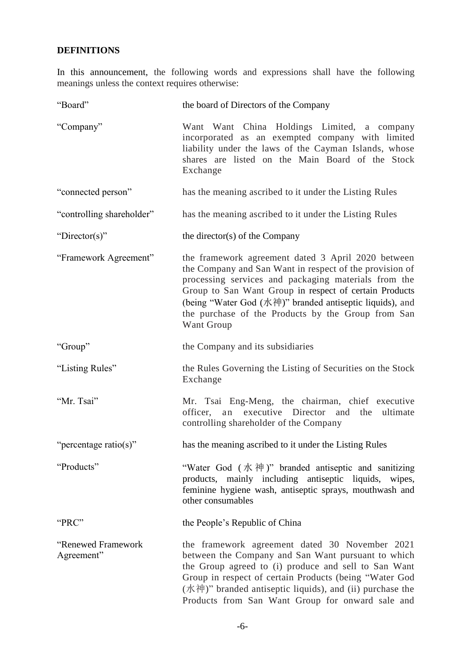## **DEFINITIONS**

In this announcement, the following words and expressions shall have the following meanings unless the context requires otherwise:

| "Board"                          | the board of Directors of the Company                                                                                                                                                                                                                                                                                                                           |
|----------------------------------|-----------------------------------------------------------------------------------------------------------------------------------------------------------------------------------------------------------------------------------------------------------------------------------------------------------------------------------------------------------------|
| "Company"                        | Want Want China Holdings Limited, a company<br>incorporated as an exempted company with limited<br>liability under the laws of the Cayman Islands, whose<br>shares are listed on the Main Board of the Stock<br>Exchange                                                                                                                                        |
| "connected person"               | has the meaning ascribed to it under the Listing Rules                                                                                                                                                                                                                                                                                                          |
| "controlling shareholder"        | has the meaning ascribed to it under the Listing Rules                                                                                                                                                                                                                                                                                                          |
| "Director(s)"                    | the director(s) of the Company                                                                                                                                                                                                                                                                                                                                  |
| "Framework Agreement"            | the framework agreement dated 3 April 2020 between<br>the Company and San Want in respect of the provision of<br>processing services and packaging materials from the<br>Group to San Want Group in respect of certain Products<br>(being "Water God (水神)" branded antiseptic liquids), and<br>the purchase of the Products by the Group from San<br>Want Group |
| "Group"                          | the Company and its subsidiaries                                                                                                                                                                                                                                                                                                                                |
| "Listing Rules"                  | the Rules Governing the Listing of Securities on the Stock<br>Exchange                                                                                                                                                                                                                                                                                          |
| "Mr. Tsai"                       | Mr. Tsai Eng-Meng, the chairman, chief executive<br>executive Director<br>ultimate<br>officer,<br>the<br>and<br>an<br>controlling shareholder of the Company                                                                                                                                                                                                    |
| "percentage ratio(s)"            | has the meaning ascribed to it under the Listing Rules                                                                                                                                                                                                                                                                                                          |
| "Products"                       | "Water God $(\nparallel \mathcal{R} \mathcal{H})$ " branded antiseptic and sanitizing<br>products, mainly including antiseptic liquids, wipes,<br>feminine hygiene wash, antiseptic sprays, mouthwash and<br>other consumables                                                                                                                                  |
| "PRC"                            | the People's Republic of China                                                                                                                                                                                                                                                                                                                                  |
| "Renewed Framework<br>Agreement" | the framework agreement dated 30 November 2021<br>between the Company and San Want pursuant to which<br>the Group agreed to (i) produce and sell to San Want<br>Group in respect of certain Products (being "Water God<br>$($ 水神 $)$ " branded antiseptic liquids), and (ii) purchase the<br>Products from San Want Group for onward sale and                   |